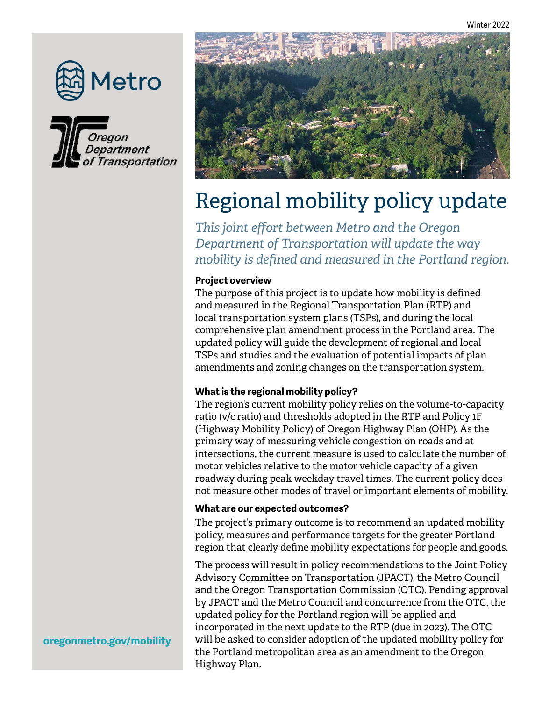





# Regional mobility policy update

*This joint effort between Metro and the Oregon Department of Transportation will update the way mobility is defined and measured in the Portland region.* 

# **Project overview**

The purpose of this project is to update how mobility is defined and measured in the Regional Transportation Plan (RTP) and local transportation system plans (TSPs), and during the local comprehensive plan amendment process in the Portland area. The updated policy will guide the development of regional and local TSPs and studies and the evaluation of potential impacts of plan amendments and zoning changes on the transportation system.

## **What is the regional mobility policy?**

The region's current mobility policy relies on the volume-to-capacity ratio (v/c ratio) and thresholds adopted in the RTP and Policy 1F (Highway Mobility Policy) of Oregon Highway Plan (OHP). As the primary way of measuring vehicle congestion on roads and at intersections, the current measure is used to calculate the number of motor vehicles relative to the motor vehicle capacity of a given roadway during peak weekday travel times. The current policy does not measure other modes of travel or important elements of mobility.

## **What are our expected outcomes?**

The project's primary outcome is to recommend an updated mobility policy, measures and performance targets for the greater Portland region that clearly define mobility expectations for people and goods.

The process will result in policy recommendations to the Joint Policy Advisory Committee on Transportation (JPACT), the Metro Council and the Oregon Transportation Commission (OTC). Pending approval by JPACT and the Metro Council and concurrence from the OTC, the updated policy for the Portland region will be applied and incorporated in the next update to the RTP (due in 2023). The OTC will be asked to consider adoption of the updated mobility policy for the Portland metropolitan area as an amendment to the Oregon Highway Plan.

## **oregonmetro.gov/mobility**